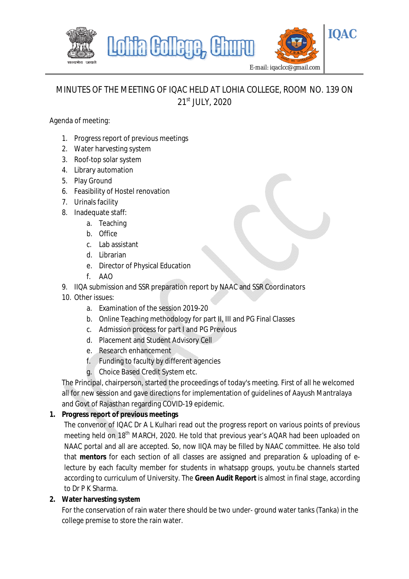

# MINUTES OF THE MEETING OF IQAC HELD AT LOHIA COLLEGE, ROOM NO. 139 ON 21st JULY, 2020

Agenda of meeting:

- 1. Progress report of previous meetings
- 2. Water harvesting system
- 3. Roof-top solar system
- 4. Library automation
- 5. Play Ground
- 6. Feasibility of Hostel renovation
- 7. Urinals facility
- 8. Inadequate staff:
	- a. Teaching
	- b. Office
	- c. Lab assistant
	- d. Librarian
	- e. Director of Physical Education
	- f. AAO
- 9. IIQA submission and SSR preparation report by NAAC and SSR Coordinators
- 10. Other issues:
	- a. Examination of the session 2019-20
	- b. Online Teaching methodology for part II, III and PG Final Classes
	- c. Admission process for part I and PG Previous
	- d. Placement and Student Advisory Cell
	- e. Research enhancement
	- f. Funding to faculty by different agencies
	- g. Choice Based Credit System etc.

The Principal, chairperson, started the proceedings of today's meeting. First of all he welcomed all for new session and gave directions for implementation of guidelines of Aayush Mantralaya and Govt of Rajasthan regarding COVID-19 epidemic.

# **1. Progress report of previous meetings**

The convenor of IQAC Dr A L Kulhari read out the progress report on various points of previous meeting held on 18<sup>th</sup> MARCH, 2020. He told that previous year's AQAR had been uploaded on NAAC portal and all are accepted. So, now IIQA may be filled by NAAC committee. He also told that **mentors** for each section of all classes are assigned and preparation & uploading of electure by each faculty member for students in whatsapp groups, youtu.be channels started according to curriculum of University. The **Green Audit Report** is almost in final stage, according to Dr P K Sharma.

# **2. Water harvesting system**

For the conservation of rain water there should be two under- ground water tanks (Tanka) in the college premise to store the rain water.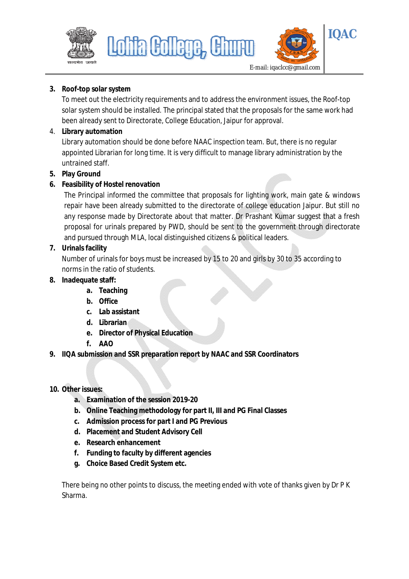



### **3. Roof-top solar system**

To meet out the electricity requirements and to address the environment issues, the Roof-top solar system should be installed. The principal stated that the proposals for the same work had been already sent to Directorate, College Education, Jaipur for approval.

Lohia Gollege

#### 4. **Library automation**

Library automation should be done before NAAC inspection team. But, there is no regular appointed Librarian for long time. It is very difficult to manage library administration by the untrained staff.

#### **5. Play Ground**

# **6. Feasibility of Hostel renovation**

The Principal informed the committee that proposals for lighting work, main gate & windows repair have been already submitted to the directorate of college education Jaipur. But still no any response made by Directorate about that matter. Dr Prashant Kumar suggest that a fresh proposal for urinals prepared by PWD, should be sent to the government through directorate and pursued through MLA, local distinguished citizens & political leaders.

# **7. Urinals facility**

Number of urinals for boys must be increased by 15 to 20 and girls by 30 to 35 according to norms in the ratio of students.

#### **8. Inadequate staff:**

- **a. Teaching**
- **b. Office**
- **c. Lab assistant**
- **d. Librarian**
- **e. Director of Physical Education**
- **f. AAO**
- **9. IIQA submission and SSR preparation report by NAAC and SSR Coordinators**

#### **10. Other issues:**

- **a. Examination of the session 2019-20**
- **b. Online Teaching methodology for part II, III and PG Final Classes**
- **c. Admission process for part I and PG Previous**
- **d. Placement and Student Advisory Cell**
- **e. Research enhancement**
- **f. Funding to faculty by different agencies**
- **g. Choice Based Credit System etc.**

There being no other points to discuss, the meeting ended with vote of thanks given by Dr P K Sharma.